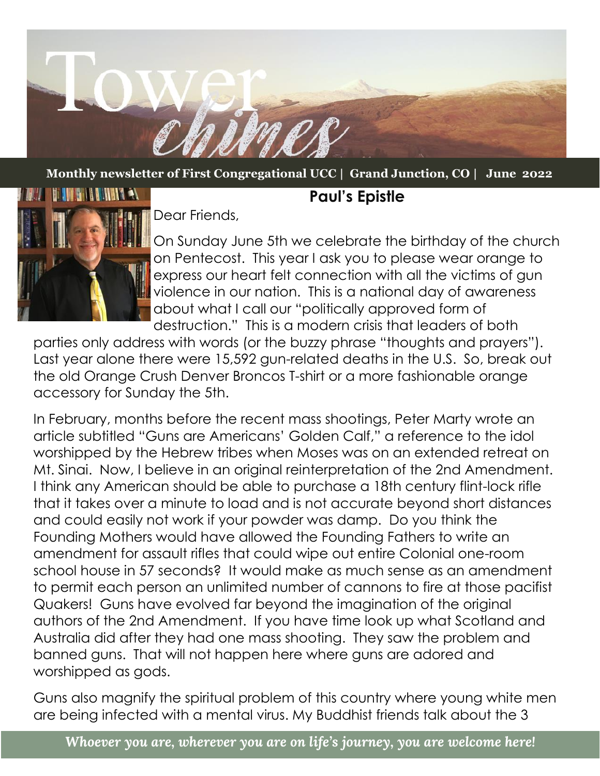

**Monthly newsletter of First Congregational UCC | Grand Junction, CO | June 2022**



Dear Friends,

On Sunday June 5th we celebrate the birthday of the church on Pentecost. This year I ask you to please wear orange to express our heart felt connection with all the victims of gun violence in our nation. This is a national day of awareness about what I call our "politically approved form of destruction." This is a modern crisis that leaders of both

**Paul's Epistle**

parties only address with words (or the buzzy phrase "thoughts and prayers"). Last year alone there were 15,592 gun-related deaths in the U.S. So, break out the old Orange Crush Denver Broncos T-shirt or a more fashionable orange accessory for Sunday the 5th.

In February, months before the recent mass shootings, Peter Marty wrote an article subtitled "Guns are Americans' Golden Calf," a reference to the idol worshipped by the Hebrew tribes when Moses was on an extended retreat on Mt. Sinai. Now, I believe in an original reinterpretation of the 2nd Amendment. I think any American should be able to purchase a 18th century flint-lock rifle that it takes over a minute to load and is not accurate beyond short distances and could easily not work if your powder was damp. Do you think the Founding Mothers would have allowed the Founding Fathers to write an amendment for assault rifles that could wipe out entire Colonial one-room school house in 57 seconds? It would make as much sense as an amendment to permit each person an unlimited number of cannons to fire at those pacifist Quakers! Guns have evolved far beyond the imagination of the original authors of the 2nd Amendment. If you have time look up what Scotland and Australia did after they had one mass shooting. They saw the problem and banned guns. That will not happen here where guns are adored and worshipped as gods.

Guns also magnify the spiritual problem of this country where young white men are being infected with a mental virus. My Buddhist friends talk about the 3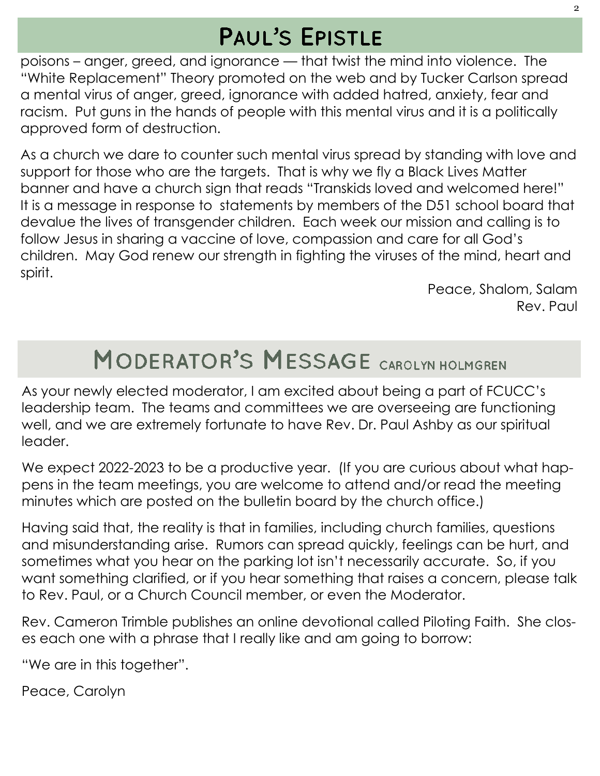# **PAUL'S EPISTLE**

poisons – anger, greed, and ignorance — that twist the mind into violence. The "White Replacement" Theory promoted on the web and by Tucker Carlson spread a mental virus of anger, greed, ignorance with added hatred, anxiety, fear and racism. Put guns in the hands of people with this mental virus and it is a politically approved form of destruction.

As a church we dare to counter such mental virus spread by standing with love and support for those who are the targets. That is why we fly a Black Lives Matter banner and have a church sign that reads "Transkids loved and welcomed here!" It is a message in response to statements by members of the D51 school board that devalue the lives of transgender children. Each week our mission and calling is to follow Jesus in sharing a vaccine of love, compassion and care for all God's children. May God renew our strength in fighting the viruses of the mind, heart and spirit.

> Peace, Shalom, Salam Rev. Paul

# **MODERATOR'S MESSAGE CAROLYN HOLMGREN**

As your newly elected moderator, I am excited about being a part of FCUCC's leadership team. The teams and committees we are overseeing are functioning well, and we are extremely fortunate to have Rev. Dr. Paul Ashby as our spiritual leader.

We expect 2022-2023 to be a productive year. (If you are curious about what happens in the team meetings, you are welcome to attend and/or read the meeting minutes which are posted on the bulletin board by the church office.)

Having said that, the reality is that in families, including church families, questions and misunderstanding arise. Rumors can spread quickly, feelings can be hurt, and sometimes what you hear on the parking lot isn't necessarily accurate. So, if you want something clarified, or if you hear something that raises a concern, please talk to Rev. Paul, or a Church Council member, or even the Moderator.

Rev. Cameron Trimble publishes an online devotional called Piloting Faith. She closes each one with a phrase that I really like and am going to borrow:

"We are in this together".

Peace, Carolyn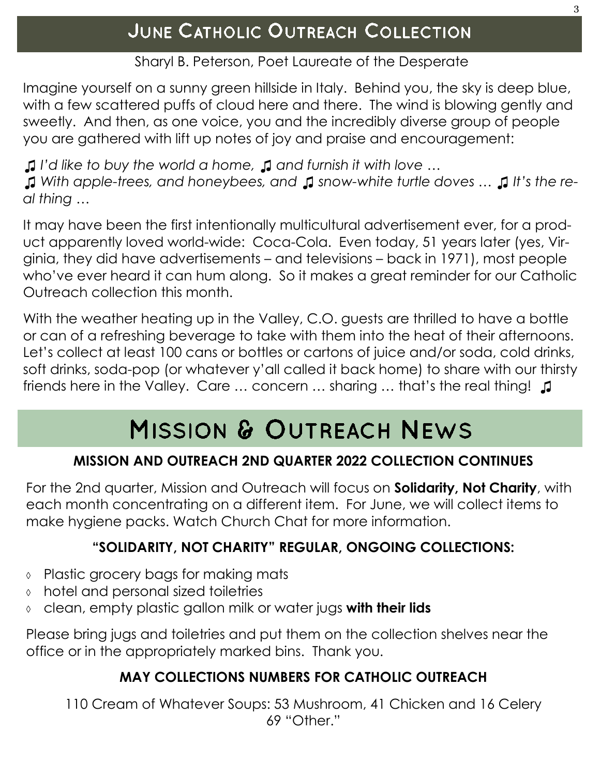### Sharyl B. Peterson, Poet Laureate of the Desperate

Imagine yourself on a sunny green hillside in Italy. Behind you, the sky is deep blue, with a few scattered puffs of cloud here and there. The wind is blowing gently and sweetly. And then, as one voice, you and the incredibly diverse group of people you are gathered with lift up notes of joy and praise and encouragement:

*♫ I'd like to buy the world a home, ♫ and furnish it with love … ♫ With apple-trees, and honeybees, and ♫ snow-white turtle doves … ♫ It's the real thing …*

It may have been the first intentionally multicultural advertisement ever, for a product apparently loved world-wide: Coca-Cola. Even today, 51 years later (yes, Virginia, they did have advertisements – and televisions – back in 1971), most people who've ever heard it can hum along. So it makes a great reminder for our Catholic Outreach collection this month.

With the weather heating up in the Valley, C.O. guests are thrilled to have a bottle or can of a refreshing beverage to take with them into the heat of their afternoons. Let's collect at least 100 cans or bottles or cartons of juice and/or soda, cold drinks, soft drinks, soda-pop (or whatever y'all called it back home) to share with our thirsty friends here in the Valley. Care … concern … sharing … that's the real thing! ♫

# MISSION & OUTREACH NEWS

## **MISSION AND OUTREACH 2ND QUARTER 2022 COLLECTION CONTINUES**

For the 2nd quarter, Mission and Outreach will focus on **Solidarity, Not Charity**, with each month concentrating on a different item. For June, we will collect items to make hygiene packs. Watch Church Chat for more information.

## **"SOLIDARITY, NOT CHARITY" REGULAR, ONGOING COLLECTIONS:**

- ↑ Plastic grocery bags for making mats
- hotel and personal sized toiletries
- clean, empty plastic gallon milk or water jugs **with their lids**

Please bring jugs and toiletries and put them on the collection shelves near the office or in the appropriately marked bins. Thank you.

## **MAY COLLECTIONS NUMBERS FOR CATHOLIC OUTREACH**

110 Cream of Whatever Soups: 53 Mushroom, 41 Chicken and 16 Celery 69 "Other."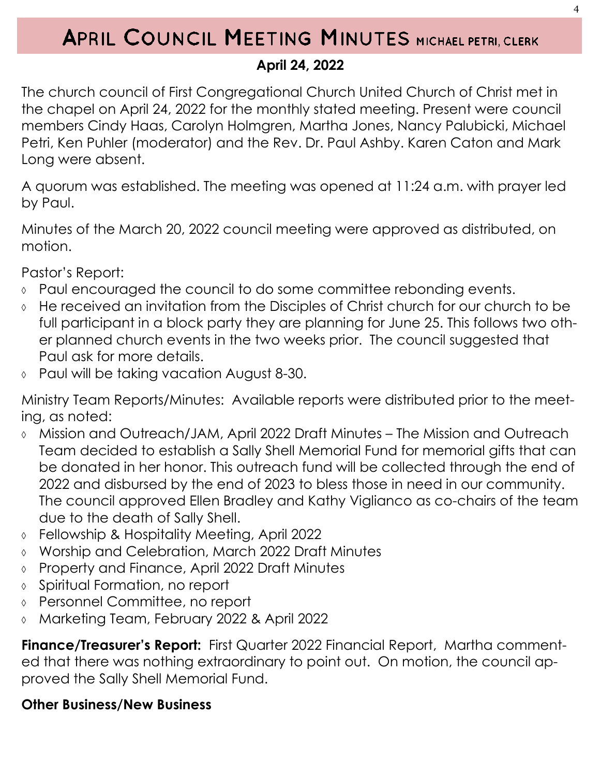## APRIL COUNCIL MEETING MINUTES MICHAEL PETRI, CLERK

## **April 24, 2022**

The church council of First Congregational Church United Church of Christ met in the chapel on April 24, 2022 for the monthly stated meeting. Present were council members Cindy Haas, Carolyn Holmgren, Martha Jones, Nancy Palubicki, Michael Petri, Ken Puhler (moderator) and the Rev. Dr. Paul Ashby. Karen Caton and Mark Long were absent.

A quorum was established. The meeting was opened at 11:24 a.m. with prayer led by Paul.

Minutes of the March 20, 2022 council meeting were approved as distributed, on motion.

Pastor's Report:

- Paul encouraged the council to do some committee rebonding events.
- He received an invitation from the Disciples of Christ church for our church to be full participant in a block party they are planning for June 25. This follows two other planned church events in the two weeks prior. The council suggested that Paul ask for more details.
- Paul will be taking vacation August 8-30.

Ministry Team Reports/Minutes: Available reports were distributed prior to the meeting, as noted:

- Mission and Outreach/JAM, April 2022 Draft Minutes The Mission and Outreach Team decided to establish a Sally Shell Memorial Fund for memorial gifts that can be donated in her honor. This outreach fund will be collected through the end of 2022 and disbursed by the end of 2023 to bless those in need in our community. The council approved Ellen Bradley and Kathy Viglianco as co-chairs of the team due to the death of Sally Shell.
- Fellowship & Hospitality Meeting, April 2022
- Worship and Celebration, March 2022 Draft Minutes
- Property and Finance, April 2022 Draft Minutes
- Spiritual Formation, no report
- Personnel Committee, no report
- Marketing Team, February 2022 & April 2022

**Finance/Treasurer's Report:** First Quarter 2022 Financial Report, Martha commented that there was nothing extraordinary to point out. On motion, the council approved the Sally Shell Memorial Fund.

## **Other Business/New Business**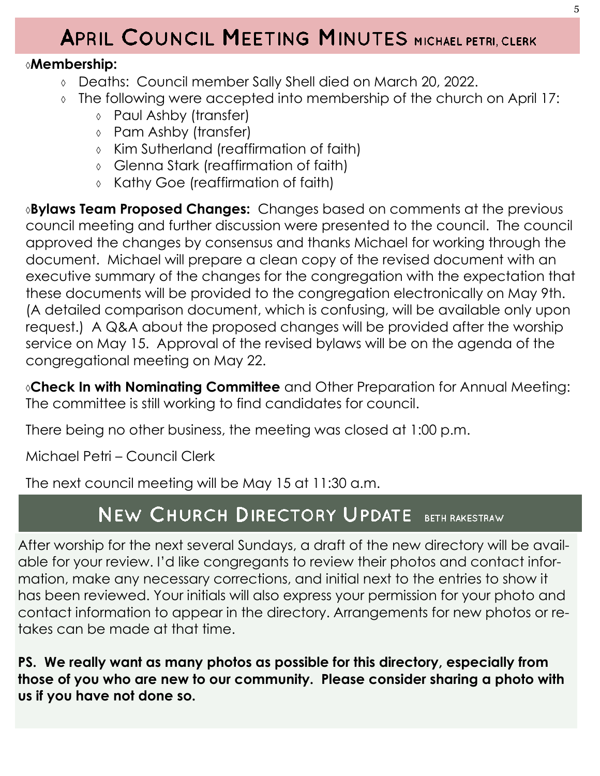# APRIL COUNCIL MEETING MINUTES MICHAEL PETRI, CLERK

## **Membership:**

- Deaths: Council member Sally Shell died on March 20, 2022.
- The following were accepted into membership of the church on April 17:
	- Paul Ashby (transfer)
	- Pam Ashby (transfer)
	- Kim Sutherland (reaffirmation of faith)
	- Glenna Stark (reaffirmation of faith)
	- Kathy Goe (reaffirmation of faith)

**Bylaws Team Proposed Changes:** Changes based on comments at the previous council meeting and further discussion were presented to the council. The council approved the changes by consensus and thanks Michael for working through the document. Michael will prepare a clean copy of the revised document with an executive summary of the changes for the congregation with the expectation that these documents will be provided to the congregation electronically on May 9th. (A detailed comparison document, which is confusing, will be available only upon request.) A Q&A about the proposed changes will be provided after the worship service on May 15. Approval of the revised bylaws will be on the agenda of the congregational meeting on May 22.

**Check In with Nominating Committee** and Other Preparation for Annual Meeting: The committee is still working to find candidates for council.

There being no other business, the meeting was closed at 1:00 p.m.

Michael Petri – Council Clerk

The next council meeting will be May 15 at 11:30 a.m.

## NEW CHURCH DIRECTORY UPDATE BETH RAKESTRAW

After worship for the next several Sundays, a draft of the new directory will be available for your review. I'd like congregants to review their photos and contact information, make any necessary corrections, and initial next to the entries to show it has been reviewed. Your initials will also express your permission for your photo and contact information to appear in the directory. Arrangements for new photos or retakes can be made at that time.

**PS. We really want as many photos as possible for this directory, especially from those of you who are new to our community. Please consider sharing a photo with us if you have not done so.**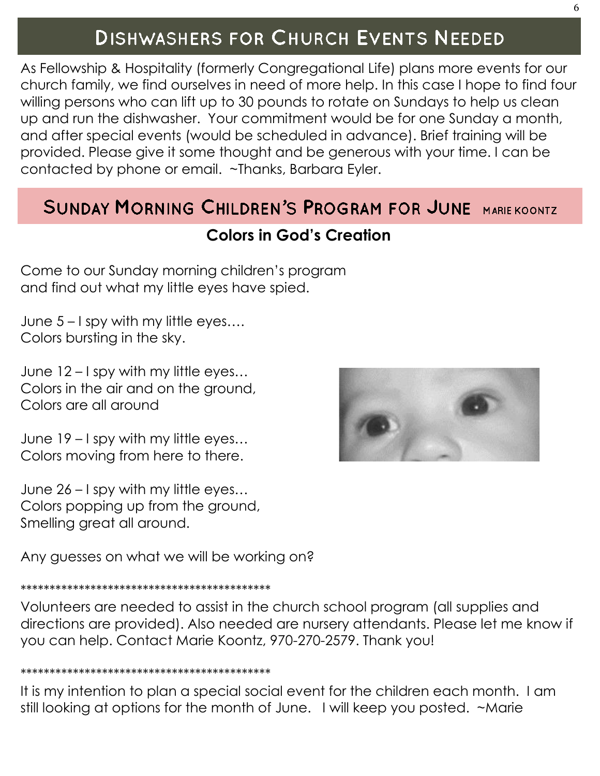## **DISHWASHERS FOR CHURCH EVENTS NEEDED**

As Fellowship & Hospitality (formerly Congregational Life) plans more events for our church family, we find ourselves in need of more help. In this case I hope to find four willing persons who can lift up to 30 pounds to rotate on Sundays to help us clean up and run the dishwasher. Your commitment would be for one Sunday a month, and after special events (would be scheduled in advance). Brief training will be provided. Please give it some thought and be generous with your time. I can be contacted by phone or email. ~Thanks, Barbara Eyler.

## **SUNDAY MORNING CHILDREN'S PROGRAM FOR JUNE MARIE KOONTZ**

## **Colors in God's Creation**

Come to our Sunday morning children's program and find out what my little eyes have spied.

June 5 – I spy with my little eyes…. Colors bursting in the sky.

June 12 – I spy with my little eyes… Colors in the air and on the ground, Colors are all around

June 19 – I spy with my little eyes… Colors moving from here to there.

June 26 – I spy with my little eyes… Colors popping up from the ground, Smelling great all around.

Any guesses on what we will be working on?

#### \*\*\*\*\*\*\*\*\*\*\*\*\*\*\*\*\*\*\*\*\*\*\*\*\*\*\*\*\*\*\*\*\*\*\*\*\*\*\*\*\*\*\*

Volunteers are needed to assist in the church school program (all supplies and directions are provided). Also needed are nursery attendants. Please let me know if you can help. Contact Marie Koontz, 970-270-2579. Thank you!

#### \*\*\*\*\*\*\*\*\*\*\*\*\*\*\*\*\*\*\*\*\*\*\*\*\*\*\*\*\*\*\*\*\*\*\*\*\*\*\*\*\*\*\*

It is my intention to plan a special social event for the children each month. I am still looking at options for the month of June. I will keep you posted. ~Marie

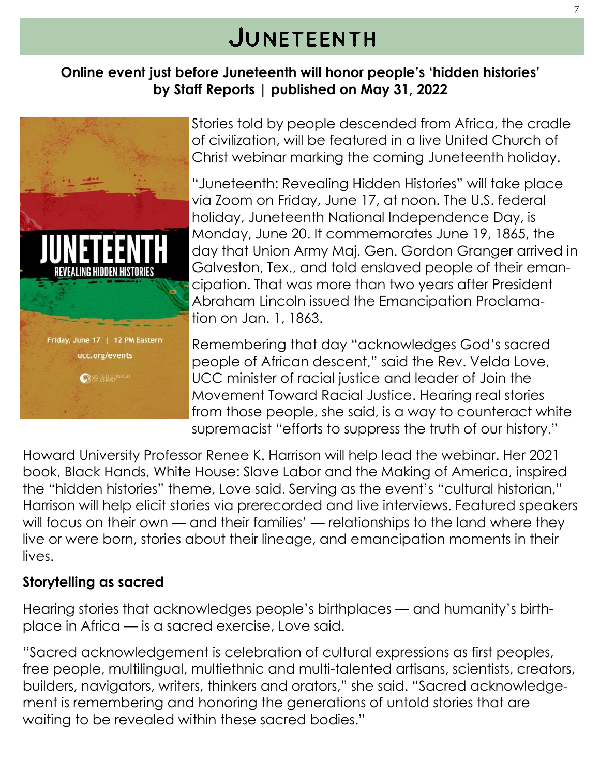# JUNETEENTH

### **Online event just before Juneteenth will honor people's 'hidden histories' by Staff Reports | published on May 31, 2022**



Stories told by people descended from Africa, the cradle of civilization, will be featured in a live United Church of Christ webinar marking the coming Juneteenth holiday.

"Juneteenth: Revealing Hidden Histories" will take place via Zoom on Friday, June 17, at noon. The U.S. federal holiday, Juneteenth National Independence Day, is Monday, June 20. It commemorates June 19, 1865, the day that Union Army Maj. Gen. Gordon Granger arrived in Galveston, Tex., and told enslaved people of their emancipation. That was more than two years after President Abraham Lincoln issued the Emancipation Proclamation on Jan. 1, 1863.

Remembering that day "acknowledges God's sacred people of African descent," said the Rev. Velda Love, UCC minister of racial justice and leader of Join the Movement Toward Racial Justice. Hearing real stories from those people, she said, is a way to counteract white supremacist "efforts to suppress the truth of our history."

Howard University Professor Renee K. Harrison will help lead the webinar. Her 2021 book, Black Hands, White House: Slave Labor and the Making of America, inspired the "hidden histories" theme, Love said. Serving as the event's "cultural historian," Harrison will help elicit stories via prerecorded and live interviews. Featured speakers will focus on their own — and their families' — relationships to the land where they live or were born, stories about their lineage, and emancipation moments in their lives.

### **Storytelling as sacred**

Hearing stories that acknowledges people's birthplaces — and humanity's birthplace in Africa — is a sacred exercise, Love said.

"Sacred acknowledgement is celebration of cultural expressions as first peoples, free people, multilingual, multiethnic and multi-talented artisans, scientists, creators, builders, navigators, writers, thinkers and orators," she said. "Sacred acknowledgement is remembering and honoring the generations of untold stories that are waiting to be revealed within these sacred bodies."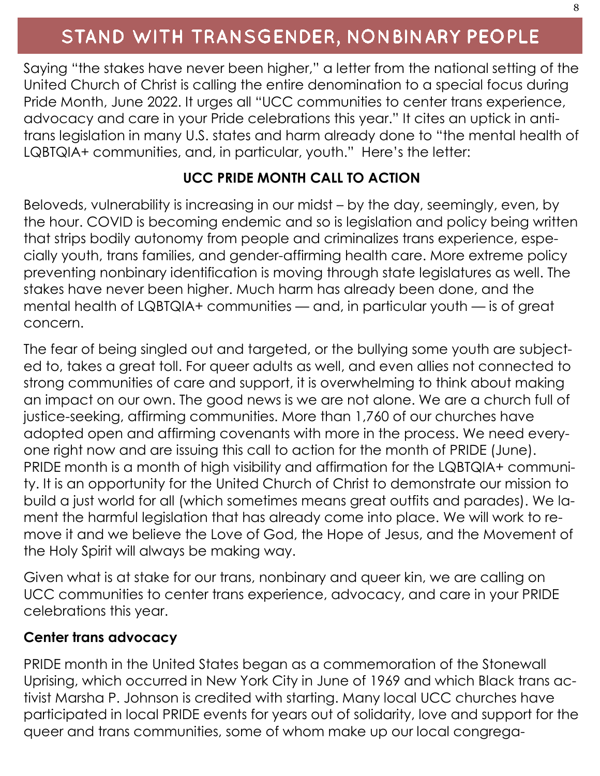## STAND WITH TRANSGENDER, NONBINARY PEOPLE

Saying "the stakes have never been higher," a letter from the national setting of the United Church of Christ is calling the entire denomination to a special focus during Pride Month, June 2022. It urges all "UCC communities to center trans experience, advocacy and care in your Pride celebrations this year." It cites an uptick in antitrans legislation in many U.S. states and harm already done to "the mental health of LQBTQIA+ communities, and, in particular, youth." Here's the letter:

### **UCC PRIDE MONTH CALL TO ACTION**

Beloveds, vulnerability is increasing in our midst – by the day, seemingly, even, by the hour. COVID is becoming endemic and so is legislation and policy being written that strips bodily autonomy from people and criminalizes trans experience, especially youth, trans families, and gender-affirming health care. More extreme policy preventing nonbinary identification is moving through state legislatures as well. The stakes have never been higher. Much harm has already been done, and the mental health of LQBTQIA+ communities — and, in particular youth — is of great concern.

The fear of being singled out and targeted, or the bullying some youth are subjected to, takes a great toll. For queer adults as well, and even allies not connected to strong communities of care and support, it is overwhelming to think about making an impact on our own. The good news is we are not alone. We are a church full of justice-seeking, affirming communities. More than 1,760 of our churches have adopted open and affirming covenants with more in the process. We need everyone right now and are issuing this call to action for the month of PRIDE (June). PRIDE month is a month of high visibility and affirmation for the LQBTQIA+ community. It is an opportunity for the United Church of Christ to demonstrate our mission to build a just world for all (which sometimes means great outfits and parades). We lament the harmful legislation that has already come into place. We will work to remove it and we believe the Love of God, the Hope of Jesus, and the Movement of the Holy Spirit will always be making way.

Given what is at stake for our trans, nonbinary and queer kin, we are calling on UCC communities to center trans experience, advocacy, and care in your PRIDE celebrations this year.

### **Center trans advocacy**

PRIDE month in the United States began as a commemoration of the Stonewall Uprising, which occurred in New York City in June of 1969 and which Black trans activist Marsha P. Johnson is credited with starting. Many local UCC churches have participated in local PRIDE events for years out of solidarity, love and support for the queer and trans communities, some of whom make up our local congrega-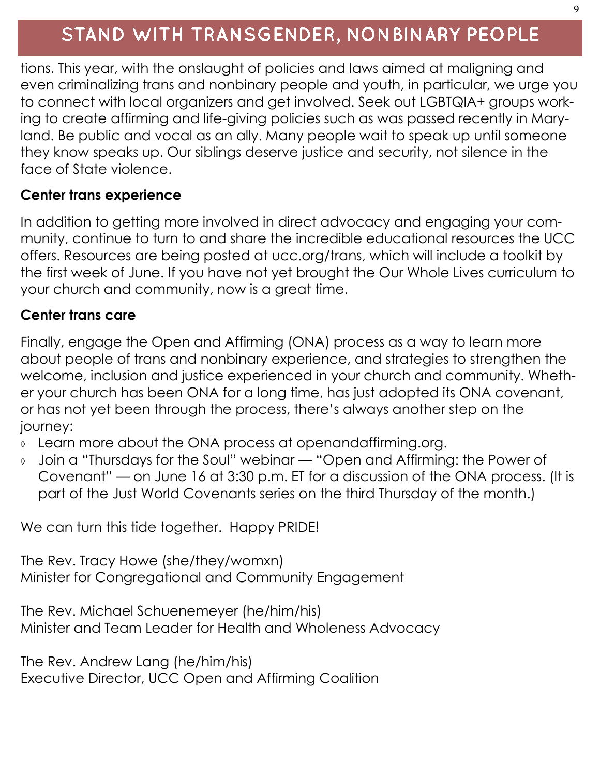## STAND WITH TRANSGENDER, NONBINARY PEOPLE

tions. This year, with the onslaught of policies and laws aimed at maligning and even criminalizing trans and nonbinary people and youth, in particular, we urge you to connect with local organizers and get involved. Seek out LGBTQIA+ groups working to create affirming and life-giving policies such as was passed recently in Maryland. Be public and vocal as an ally. Many people wait to speak up until someone they know speaks up. Our siblings deserve justice and security, not silence in the face of State violence.

### **Center trans experience**

In addition to getting more involved in direct advocacy and engaging your community, continue to turn to and share the incredible educational resources the UCC offers. Resources are being posted at ucc.org/trans, which will include a toolkit by the first week of June. If you have not yet brought the Our Whole Lives curriculum to your church and community, now is a great time.

#### **Center trans care**

Finally, engage the Open and Affirming (ONA) process as a way to learn more about people of trans and nonbinary experience, and strategies to strengthen the welcome, inclusion and justice experienced in your church and community. Whether your church has been ONA for a long time, has just adopted its ONA covenant, or has not yet been through the process, there's always another step on the journey:

- Learn more about the ONA process at openandaffirming.org.
- Join a "Thursdays for the Soul" webinar "Open and Affirming: the Power of Covenant" — on June 16 at 3:30 p.m. ET for a discussion of the ONA process. (It is part of the Just World Covenants series on the third Thursday of the month.)

We can turn this tide together. Happy PRIDE!

The Rev. Tracy Howe (she/they/womxn) Minister for Congregational and Community Engagement

The Rev. Michael Schuenemeyer (he/him/his) Minister and Team Leader for Health and Wholeness Advocacy

The Rev. Andrew Lang (he/him/his) Executive Director, UCC Open and Affirming Coalition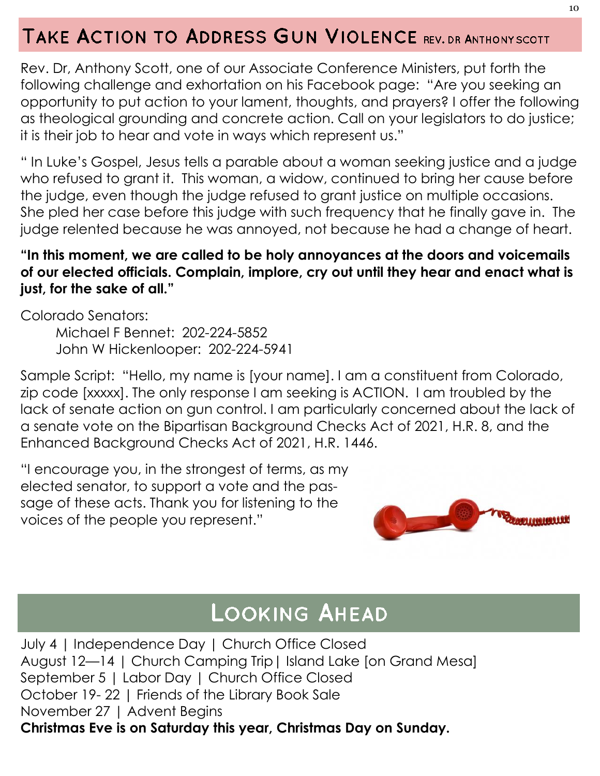## TAKE ACTION TO ADDRESS GUN VIOLENCE REV. DR ANTHONY SCOTT

Rev. Dr, Anthony Scott, one of our Associate Conference Ministers, put forth the following challenge and exhortation on his Facebook page: "Are you seeking an opportunity to put action to your lament, thoughts, and prayers? I offer the following as theological grounding and concrete action. Call on your legislators to do justice; it is their job to hear and vote in ways which represent us."

" In Luke's Gospel, Jesus tells a parable about a woman seeking justice and a judge who refused to grant it. This woman, a widow, continued to bring her cause before the judge, even though the judge refused to grant justice on multiple occasions. She pled her case before this judge with such frequency that he finally gave in. The judge relented because he was annoyed, not because he had a change of heart.

### **"In this moment, we are called to be holy annoyances at the doors and voicemails of our elected officials. Complain, implore, cry out until they hear and enact what is just, for the sake of all."**

Colorado Senators:

Michael F Bennet: 202-224-5852 John W Hickenlooper: 202-224-5941

Sample Script: "Hello, my name is [your name]. I am a constituent from Colorado, zip code [xxxxx]. The only response I am seeking is ACTION. I am troubled by the lack of senate action on gun control. I am particularly concerned about the lack of a senate vote on the Bipartisan Background Checks Act of 2021, H.R. 8, and the Enhanced Background Checks Act of 2021, H.R. 1446.

"I encourage you, in the strongest of terms, as my elected senator, to support a vote and the passage of these acts. Thank you for listening to the voices of the people you represent."



## **LOOKING AHEAD**

July 4 | Independence Day | Church Office Closed August 12—14 | Church Camping Trip| Island Lake [on Grand Mesa] September 5 | Labor Day | Church Office Closed October 19- 22 | Friends of the Library Book Sale November 27 | Advent Begins **Christmas Eve is on Saturday this year, Christmas Day on Sunday.**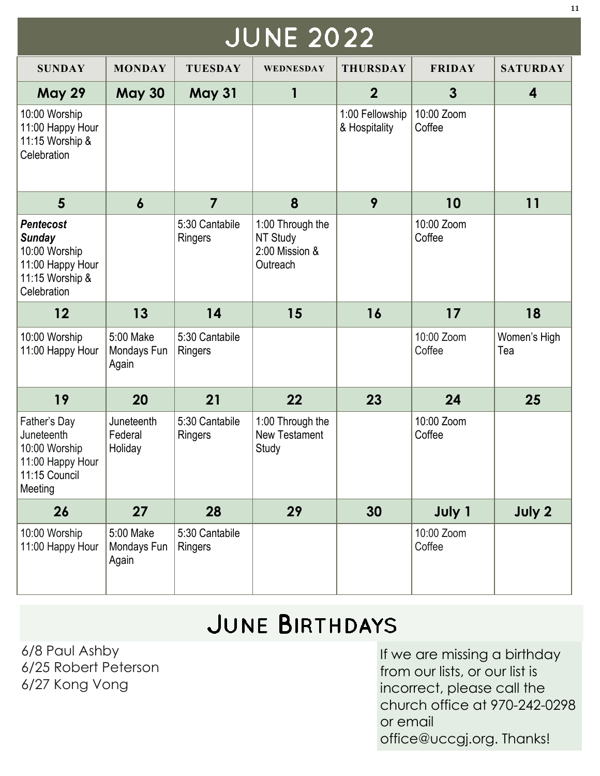| <b>JUNE 2022</b>                                                                                         |                                   |                           |                                                            |                                  |                      |                     |
|----------------------------------------------------------------------------------------------------------|-----------------------------------|---------------------------|------------------------------------------------------------|----------------------------------|----------------------|---------------------|
| <b>SUNDAY</b>                                                                                            | <b>MONDAY</b>                     | <b>TUESDAY</b>            | WEDNESDAY                                                  | <b>THURSDAY</b>                  | <b>FRIDAY</b>        | <b>SATURDAY</b>     |
| <b>May 29</b>                                                                                            | <b>May 30</b>                     | <b>May 31</b>             | 1                                                          | $\overline{2}$                   | $\mathbf{3}$         | 4                   |
| 10:00 Worship<br>11:00 Happy Hour<br>11:15 Worship &<br>Celebration                                      |                                   |                           |                                                            | 1:00 Fellowship<br>& Hospitality | 10:00 Zoom<br>Coffee |                     |
| 5                                                                                                        | $\boldsymbol{6}$                  | $\overline{\mathbf{z}}$   | 8                                                          | 9                                | 10                   | 11                  |
| <b>Pentecost</b><br><b>Sunday</b><br>10:00 Worship<br>11:00 Happy Hour<br>11:15 Worship &<br>Celebration |                                   | 5:30 Cantabile<br>Ringers | 1:00 Through the<br>NT Study<br>2:00 Mission &<br>Outreach |                                  | 10:00 Zoom<br>Coffee |                     |
| 12                                                                                                       | 13                                | 14                        | 15                                                         | 16                               | 17                   | 18                  |
| 10:00 Worship<br>11:00 Happy Hour                                                                        | 5:00 Make<br>Mondays Fun<br>Again | 5:30 Cantabile<br>Ringers |                                                            |                                  | 10:00 Zoom<br>Coffee | Women's High<br>Tea |
| 19                                                                                                       | 20                                | 21                        | 22                                                         | 23                               | 24                   | 25                  |
| Father's Day<br>Juneteenth<br>10:00 Worship<br>11:00 Happy Hour<br>11:15 Council<br>Meeting              | Juneteenth<br>Federal<br>Holiday  | 5:30 Cantabile<br>Ringers | 1:00 Through the<br>New Testament<br>Study                 |                                  | 10:00 Zoom<br>Coffee |                     |
| 26                                                                                                       | 27                                | 28                        | 29                                                         | 30                               | July 1               | July 2              |
| 10:00 Worship<br>11:00 Happy Hour                                                                        | 5:00 Make<br>Mondays Fun<br>Again | 5:30 Cantabile<br>Ringers |                                                            |                                  | 10:00 Zoom<br>Coffee |                     |

# JUNE BIRTHDAYS

6/8 Paul Ashby 6/25 Robert Peterson 6/27 Kong Vong

If we are missing a birthday from our lists, or our list is incorrect, please call the church office at 970-242-0298 or email office@uccgj.org. Thanks!